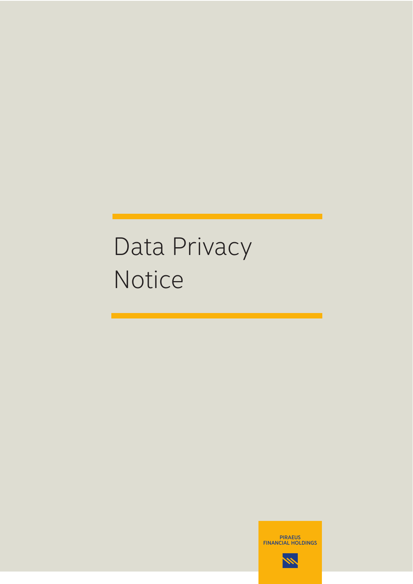# Data Privacy Notice

PIRAEUS FINANCIAL HOLDINGS

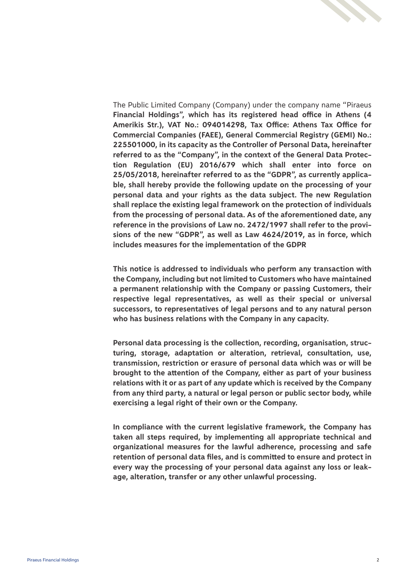

The Public Limited Company (Company) under the company name "Piraeus **Financial Holdings", which has its registered head office in Athens (4 Amerikis Str.), VAT No.: 094014298, Tax Office: Athens Tax Office for Commercial Companies (FAEE), General Commercial Registry (GEMI) No.: 225501000, in its capacity as the Controller of Personal Data, hereinafter referred to as the "Company", in the context of the General Data Protection Regulation (EU) 2016/679 which shall enter into force on 25/05/2018, hereinafter referred to as the "GDPR", as currently applicable, shall hereby provide the following update on the processing of your personal data and your rights as the data subject. The new Regulation shall replace the existing legal framework on the protection of individuals from the processing of personal data. As of the aforementioned date, any reference in the provisions of Law no. 2472/1997 shall refer to the provisions of the new "GDPR", as well as Law 4624/2019, as in force, which includes measures for the implementation of the GDPR**

**This notice is addressed to individuals who perform any transaction with the Company, including but not limited to Customers who have maintained a permanent relationship with the Company or passing Customers, their respective legal representatives, as well as their special or universal successors, to representatives of legal persons and to any natural person who has business relations with the Company in any capacity.**

**Personal data processing is the collection, recording, organisation, structuring, storage, adaptation or alteration, retrieval, consultation, use, transmission, restriction or erasure of personal data which was or will be brought to the attention of the Company, either as part of your business relations with it or as part of any update which is received by the Company from any third party, a natural or legal person or public sector body, while exercising a legal right of their own or the Company.**

**In compliance with the current legislative framework, the Company has taken all steps required, by implementing all appropriate technical and organizational measures for the lawful adherence, processing and safe retention of personal data files, and is committed to ensure and protect in every way the processing of your personal data against any loss or leakage, alteration, transfer or any other unlawful processing.**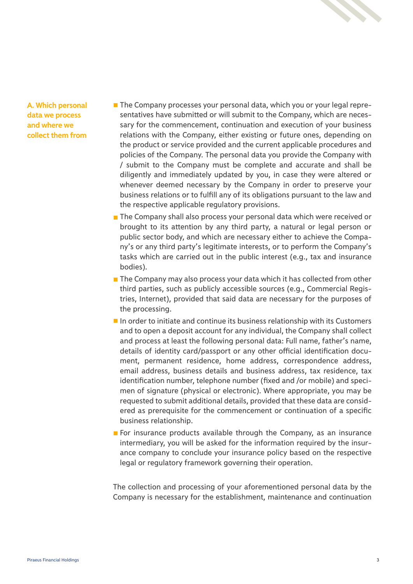

**A. Which personal data we process and where we collect them from**

- $\blacksquare$  The Company processes your personal data, which you or your legal representatives have submitted or will submit to the Company, which are necessary for the commencement, continuation and execution of your business relations with the Company, either existing or future ones, depending on the product or service provided and the current applicable procedures and policies of the Company. The personal data you provide the Company with / submit to the Company must be complete and accurate and shall be diligently and immediately updated by you, in case they were altered or whenever deemed necessary by the Company in order to preserve your business relations or to fulfill any of its obligations pursuant to the law and the respective applicable regulatory provisions.
- The Company shall also process your personal data which were received or brought to its attention by any third party, a natural or legal person or public sector body, and which are necessary either to achieve the Company's or any third party's legitimate interests, or to perform the Company's tasks which are carried out in the public interest (e.g., tax and insurance bodies).
- The Company may also process your data which it has collected from other third parties, such as publicly accessible sources (e.g., Commercial Registries, Internet), provided that said data are necessary for the purposes of the processing.
- $\blacksquare$  In order to initiate and continue its business relationship with its Customers and to open a deposit account for any individual, the Company shall collect and process at least the following personal data: Full name, father's name, details of identity card/passport or any other official identification document, permanent residence, home address, correspondence address, email address, business details and business address, tax residence, tax identification number, telephone number (fixed and /or mobile) and specimen of signature (physical or electronic). Where appropriate, you may be requested to submit additional details, provided that these data are considered as prerequisite for the commencement or continuation of a specific business relationship.
- For insurance products available through the Company, as an insurance intermediary, you will be asked for the information required by the insurance company to conclude your insurance policy based on the respective legal or regulatory framework governing their operation.

The collection and processing of your aforementioned personal data by the Company is necessary for the establishment, maintenance and continuation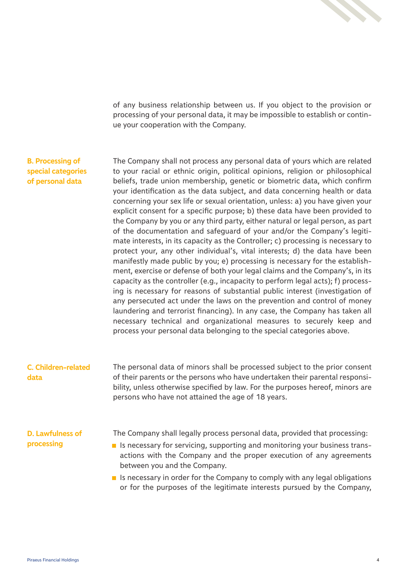

of any business relationship between us. If you object to the provision or processing of your personal data, it may be impossible to establish or continue your cooperation with the Company.

#### **Β. Processing of special categories of personal data**

The Company shall not process any personal data of yours which are related to your racial or ethnic origin, political opinions, religion or philosophical beliefs, trade union membership, genetic or biometric data, which confirm your identification as the data subject, and data concerning health or data concerning your sex life or sexual orientation, unless: a) you have given your explicit consent for a specific purpose; b) these data have been provided to the Company by you or any third party, either natural or legal person, as part of the documentation and safeguard of your and/or the Company's legitimate interests, in its capacity as the Controller; c) processing is necessary to protect your, any other individual's, vital interests; d) the data have been manifestly made public by you; e) processing is necessary for the establishment, exercise or defense of both your legal claims and the Company's, in its capacity as the controller (e.g., incapacity to perform legal acts); f) processing is necessary for reasons of substantial public interest (investigation of any persecuted act under the laws on the prevention and control of money laundering and terrorist financing). In any case, the Company has taken all necessary technical and organizational measures to securely keep and process your personal data belonging to the special categories above.

The personal data of minors shall be processed subject to the prior consent of their parents or the persons who have undertaken their parental responsibility, unless otherwise specified by law. For the purposes hereof, minors are persons who have not attained the age of 18 years. **C. Children-related data**

#### **D. Lawfulness of processing**

The Company shall legally process personal data, provided that processing:

- If is necessary for servicing, supporting and monitoring your business transactions with the Company and the proper execution of any agreements between you and the Company.
- Is necessary in order for the Company to comply with any legal obligations or for the purposes of the legitimate interests pursued by the Company,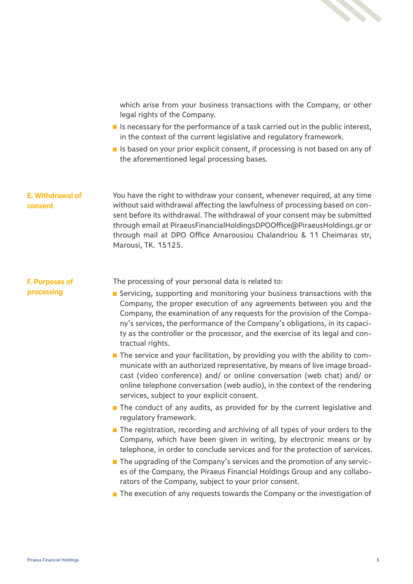

which arise from your business transactions with the Company, or other legal rights of the Company.

- $\blacksquare$  Is necessary for the performance of a task carried out in the public interest, in the context of the current legislative and regulatory framework.
- If is based on your prior explicit consent, if processing is not based on any of the aforementioned legal processing bases.

**E. Withdrawal of consent** You have the right to withdraw your consent, whenever required, at any time without said withdrawal affecting the lawfulness of processing based on consent before its withdrawal. The withdrawal of your consent may be submitted through email at PiraeusFinancialHoldingsDPOOffice@PiraeusHoldings.gr or through mail at DPO Office Amarousiou Chalandriou & 11 Cheimaras str, Marousi, TK. 15125.

**F. Purposes of processing**

The processing of your personal data is related to:

- Servicing, supporting and monitoring your business transactions with the Company, the proper execution of any agreements between you and the Company, the examination of any requests for the provision of the Company's services, the performance of the Company's obligations, in its capacity as the controller or the processor, and the exercise of its legal and contractual rights.
- $\blacksquare$  The service and your facilitation, by providing you with the ability to communicate with an authorized representative, by means of live image broadcast (video conference) and/ or online conversation (web chat) and/ or online telephone conversation (web audio), in the context of the rendering services, subject to your explicit consent.
- $\blacksquare$  The conduct of any audits, as provided for by the current legislative and regulatory framework.
- $\blacksquare$  The registration, recording and archiving of all types of your orders to the Company, which have been given in writing, by electronic means or by telephone, in order to conclude services and for the protection of services.
- The upgrading of the Company's services and the promotion of any services of the Company, the Piraeus Financial Holdings Group and any collaborators of the Company, subject to your prior consent.
- $\blacksquare$  The execution of any requests towards the Company or the investigation of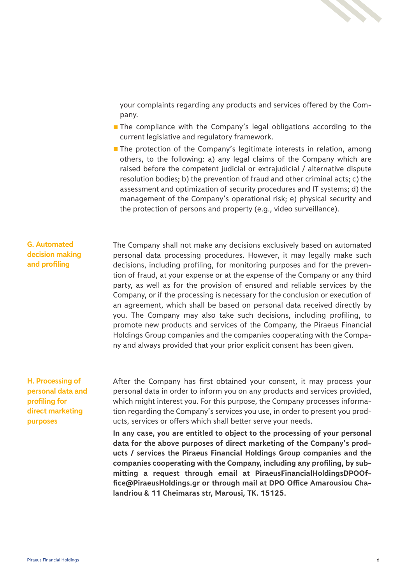

your complaints regarding any products and services offered by the Company.

- The compliance with the Company's legal obligations according to the current legislative and regulatory framework.
- $\blacksquare$  The protection of the Company's legitimate interests in relation, among others, to the following: a) any legal claims of the Company which are raised before the competent judicial or extrajudicial / alternative dispute resolution bodies; b) the prevention of fraud and other criminal acts; c) the assessment and optimization of security procedures and IT systems; d) the management of the Company's operational risk; e) physical security and the protection of persons and property (e.g., video surveillance).

# **G. Automated decision making and profiling**

The Company shall not make any decisions exclusively based on automated personal data processing procedures. However, it may legally make such decisions, including profiling, for monitoring purposes and for the prevention of fraud, at your expense or at the expense of the Company or any third party, as well as for the provision of ensured and reliable services by the Company, or if the processing is necessary for the conclusion or execution of an agreement, which shall be based on personal data received directly by you. The Company may also take such decisions, including profiling, to promote new products and services of the Company, the Piraeus Financial Holdings Group companies and the companies cooperating with the Company and always provided that your prior explicit consent has been given.

## **H. Processing of personal data and profiling for direct marketing purposes**

After the Company has first obtained your consent, it may process your personal data in order to inform you on any products and services provided, which might interest you. For this purpose, the Company processes information regarding the Company's services you use, in order to present you products, services or offers which shall better serve your needs.

**In any case, you are entitled to object to the processing of your personal data for the above purposes of direct marketing of the Company's products / services the Piraeus Financial Holdings Group companies and the companies cooperating with the Company, including any profiling, by submitting a request through email at PiraeusFinancialHoldingsDPOOffice@PiraeusHoldings.gr or through mail at DPO Office Amarousiou Chalandriou & 11 Cheimaras str, Marousi, TK. 15125.**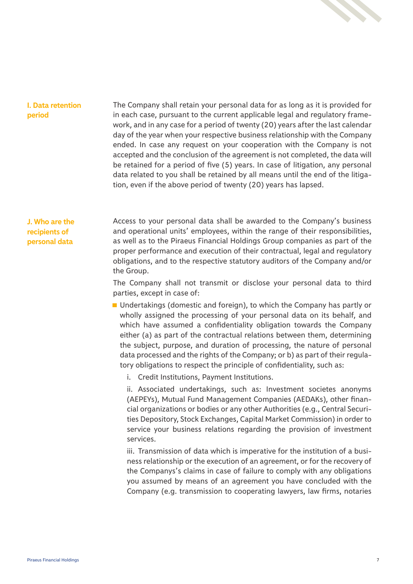

#### **I. Data retention period**

The Company shall retain your personal data for as long as it is provided for in each case, pursuant to the current applicable legal and regulatory framework, and in any case for a period of twenty (20) years after the last calendar day of the year when your respective business relationship with the Company ended. In case any request on your cooperation with the Company is not accepted and the conclusion of the agreement is not completed, the data will be retained for a period of five (5) years. In case of litigation, any personal data related to you shall be retained by all means until the end of the litigation, even if the above period of twenty (20) years has lapsed.

## **J. Who are the recipients of personal data**

Access to your personal data shall be awarded to the Company's business and operational units' employees, within the range of their responsibilities, as well as to the Piraeus Financial Holdings Group companies as part of the proper performance and execution of their contractual, legal and regulatory obligations, and to the respective statutory auditors of the Company and/or the Group.

The Company shall not transmit or disclose your personal data to third parties, except in case of:

■ Undertakings (domestic and foreign), to which the Company has partly or wholly assigned the processing of your personal data on its behalf, and which have assumed a confidentiality obligation towards the Company either (a) as part of the contractual relations between them, determining the subject, purpose, and duration of processing, the nature of personal data processed and the rights of the Company; or b) as part of their regulatory obligations to respect the principle of confidentiality, such as:

i. Credit Institutions, Payment Institutions.

ii. Associated undertakings, such as: Investment societes anonyms (AEPEYs), Mutual Fund Management Companies (AEDAKs), other financial organizations or bodies or any other Authorities (e.g., Central Securities Depository, Stock Exchanges, Capital Market Commission) in order to service your business relations regarding the provision of investment services.

iii. Transmission of data which is imperative for the institution of a business relationship or the execution of an agreement, or for the recovery of the Companys's claims in case of failure to comply with any obligations you assumed by means of an agreement you have concluded with the Company (e.g. transmission to cooperating lawyers, law firms, notaries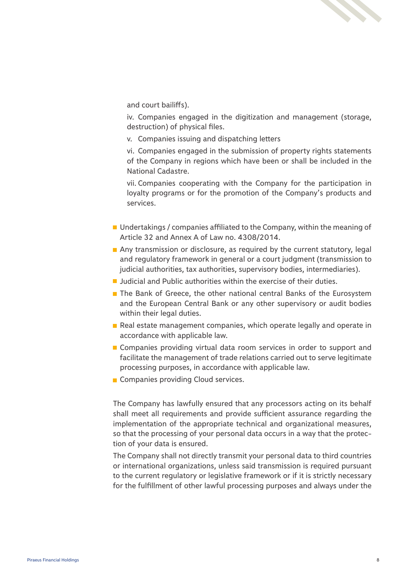

and court bailiffs).

iv. Companies engaged in the digitization and management (storage, destruction) of physical files.

v. Companies issuing and dispatching letters

vi. Companies engaged in the submission of property rights statements of the Company in regions which have been or shall be included in the National Cadastre.

vii. Companies cooperating with the Company for the participation in loyalty programs or for the promotion of the Company's products and services.

- $\blacksquare$  Undertakings / companies affiliated to the Company, within the meaning of Article 32 and Annex A of Law no. 4308/2014.
- Any transmission or disclosure, as required by the current statutory, legal and regulatory framework in general or a court judgment (transmission to judicial authorities, tax authorities, supervisory bodies, intermediaries).
- Judicial and Public authorities within the exercise of their duties.
- The Bank of Greece, the other national central Banks of the Eurosystem and the European Central Bank or any other supervisory or audit bodies within their legal duties.
- Real estate management companies, which operate legally and operate in accordance with applicable law.
- Companies providing virtual data room services in order to support and facilitate the management of trade relations carried out to serve legitimate processing purposes, in accordance with applicable law.
- Companies providing Cloud services.

The Company has lawfully ensured that any processors acting on its behalf shall meet all requirements and provide sufficient assurance regarding the implementation of the appropriate technical and organizational measures, so that the processing of your personal data occurs in a way that the protection of your data is ensured.

The Company shall not directly transmit your personal data to third countries or international organizations, unless said transmission is required pursuant to the current regulatory or legislative framework or if it is strictly necessary for the fulfillment of other lawful processing purposes and always under the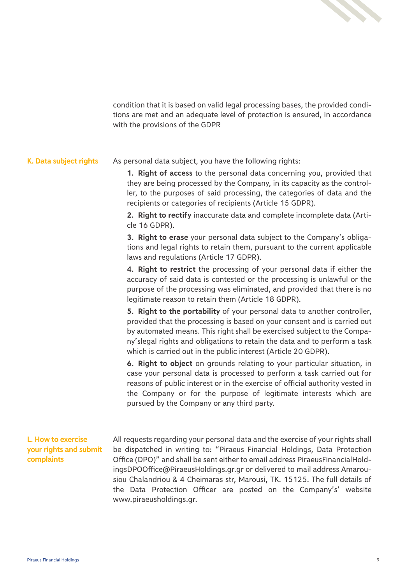

condition that it is based on valid legal processing bases, the provided conditions are met and an adequate level of protection is ensured, in accordance with the provisions of the GDPR

#### **K. Data subject rights** As personal data subject, you have the following rights:

**1. Right of access** to the personal data concerning you, provided that they are being processed by the Company, in its capacity as the controller, to the purposes of said processing, the categories of data and the recipients or categories of recipients (Article 15 GDPR).

**2. Right to rectify** inaccurate data and complete incomplete data (Article 16 GDPR).

**3. Right to erase** your personal data subject to the Company's obligations and legal rights to retain them, pursuant to the current applicable laws and regulations (Article 17 GDPR).

**4. Right to restrict** the processing of your personal data if either the accuracy of said data is contested or the processing is unlawful or the purpose of the processing was eliminated, and provided that there is no legitimate reason to retain them (Article 18 GDPR).

**5. Right to the portability** of your personal data to another controller, provided that the processing is based on your consent and is carried out by automated means. This right shall be exercised subject to the Company'slegal rights and obligations to retain the data and to perform a task which is carried out in the public interest (Article 20 GDPR).

**6. Right to object** on grounds relating to your particular situation, in case your personal data is processed to perform a task carried out for reasons of public interest or in the exercise of official authority vested in the Company or for the purpose of legitimate interests which are pursued by the Company or any third party.

## **L. How to exercise your rights and submit complaints**

All requests regarding your personal data and the exercise of your rights shall be dispatched in writing to: "Piraeus Financial Holdings, Data Protection Office (DPO)" and shall be sent either to email address PiraeusFinancialHoldingsDPOOffice@PiraeusHoldings.gr.gr or delivered to mail address Amarousiou Chalandriou & 4 Cheimaras str, Marousi, TK. 15125. The full details of the Data Protection Officer are posted on the Company's' website www.piraeusholdings.gr.